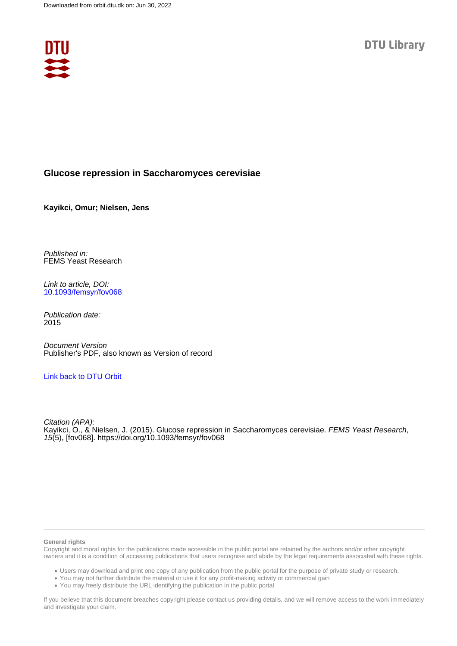

# **Glucose repression in Saccharomyces cerevisiae**

**Kayikci, Omur; Nielsen, Jens**

Published in: FEMS Yeast Research

Link to article, DOI: [10.1093/femsyr/fov068](https://doi.org/10.1093/femsyr/fov068)

Publication date: 2015

Document Version Publisher's PDF, also known as Version of record

# [Link back to DTU Orbit](https://orbit.dtu.dk/en/publications/ac393cdd-4ed1-4cbc-a86e-5b32629eed19)

Citation (APA): Kayikci, O., & Nielsen, J. (2015). Glucose repression in Saccharomyces cerevisiae. *FEMS Yeast Research*, 15(5), [fov068].<https://doi.org/10.1093/femsyr/fov068>

### **General rights**

Copyright and moral rights for the publications made accessible in the public portal are retained by the authors and/or other copyright owners and it is a condition of accessing publications that users recognise and abide by the legal requirements associated with these rights.

Users may download and print one copy of any publication from the public portal for the purpose of private study or research.

- You may not further distribute the material or use it for any profit-making activity or commercial gain
- You may freely distribute the URL identifying the publication in the public portal

If you believe that this document breaches copyright please contact us providing details, and we will remove access to the work immediately and investigate your claim.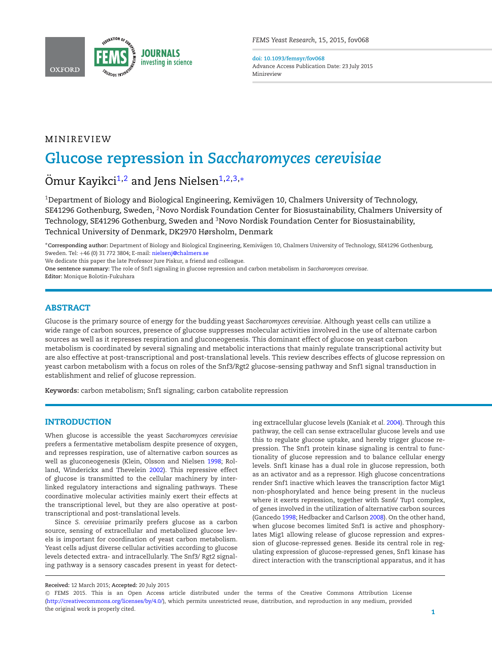

*FEMS Yeast Research*, 15, 2015, fov068

<span id="page-1-2"></span>**doi: 10.1093/femsyr/fov068** Advance Access Publication Date: 23 July 2015 Minireview

# MINIREVIEW

# **Glucose repression in** *Saccharomyces cerevisiae*

Ömur Kayikci<sup>[1,](#page-1-0)[2](#page-1-1)</sup> and Jens Nielsen<sup>1[,2,](#page-1-1)[3,](#page-1-2)[∗](#page-1-3)</sup>

<span id="page-1-1"></span><span id="page-1-0"></span><sup>1</sup>Department of Biology and Biological Engineering, Kemivägen 10, Chalmers University of Technology, SE41296 Gothenburg, Sweden, 2Novo Nordisk Foundation Center for Biosustainability, Chalmers University of Technology, SE41296 Gothenburg, Sweden and <sup>3</sup>Novo Nordisk Foundation Center for Biosustainability, Technical University of Denmark, DK2970 Hørsholm, Denmark

<span id="page-1-3"></span>∗**Corresponding author:** Department of Biology and Biological Engineering, Kemivagen 10, Chalmers University of Technology, SE41296 Gothenburg, ¨ Sweden. Tel: +46 (0) 31 772 3804; E-mail: [nielsenj@chalmers.se](mailto:nielsenj@chalmers.se)

We dedicate this paper the late Professor Jure Piskur, a friend and colleague.

**One sentence summary:** The role of Snf1 signaling in glucose repression and carbon metabolism in *Saccharomyces cerevisae*.

**Editor:** Monique Bolotin-Fukuhara

## **ABSTRACT**

Glucose is the primary source of energy for the budding yeast *Saccharomyces cerevisiae*. Although yeast cells can utilize a wide range of carbon sources, presence of glucose suppresses molecular activities involved in the use of alternate carbon sources as well as it represses respiration and gluconeogenesis. This dominant effect of glucose on yeast carbon metabolism is coordinated by several signaling and metabolic interactions that mainly regulate transcriptional activity but are also effective at post-transcriptional and post-translational levels. This review describes effects of glucose repression on yeast carbon metabolism with a focus on roles of the Snf3/Rgt2 glucose-sensing pathway and Snf1 signal transduction in establishment and relief of glucose repression.

**Keywords:** carbon metabolism; Snf1 signaling; carbon catabolite repression

# **INTRODUCTION**

When glucose is accessible the yeast *Saccharomyces cerevisiae* prefers a fermentative metabolism despite presence of oxygen, and represses respiration, use of alternative carbon sources as well as gluconeogenesis (Klein, Olsson and Nielsen [1998;](#page-6-0) Rolland, Winderickx and Thevelein [2002\)](#page-7-0). This repressive effect of glucose is transmitted to the cellular machinery by interlinked regulatory interactions and signaling pathways. These coordinative molecular activities mainly exert their effects at the transcriptional level, but they are also operative at posttranscriptional and post-translational levels.

Since *S. cerevisiae* primarily prefers glucose as a carbon source, sensing of extracellular and metabolized glucose levels is important for coordination of yeast carbon metabolism. Yeast cells adjust diverse cellular activities according to glucose levels detected extra- and intracellularly. The Snf3/ Rgt2 signaling pathway is a sensory cascades present in yeast for detecting extracellular glucose levels (Kaniak *et al.* [2004\)](#page-6-1). Through this pathway, the cell can sense extracellular glucose levels and use this to regulate glucose uptake, and hereby trigger glucose repression. The Snf1 protein kinase signaling is central to functionality of glucose repression and to balance cellular energy levels. Snf1 kinase has a dual role in glucose repression, both as an activator and as a repressor. High glucose concentrations render Snf1 inactive which leaves the transcription factor Mig1 non-phosphorylated and hence being present in the nucleus where it exerts repression, together with Ssn6/ Tup1 complex, of genes involved in the utilization of alternative carbon sources (Gancedo [1998;](#page-6-2) Hedbacker and Carlson [2008\)](#page-6-3)[.](#page-2-0) On the other hand, when glucose becomes limited Snf1 is active and phosphorylates Mig1 allowing release of glucose repression and expression of glucose-repressed genes. Beside its central role in regulating expression of glucose-repressed genes, Snf1 kinase has direct interaction with the transcriptional apparatus, and it has

**Received:** 12 March 2015; **Accepted:** 20 July 2015

<sup>C</sup> FEMS 2015. This is an Open Access article distributed under the terms of the Creative Commons Attribution License [\(http://creativecommons.org/licenses/by/4.0/\)](http://creativecommons.org/licenses/by/4.0/), which permits unrestricted reuse, distribution, and reproduction in any medium, provided the original work is properly cited. **1**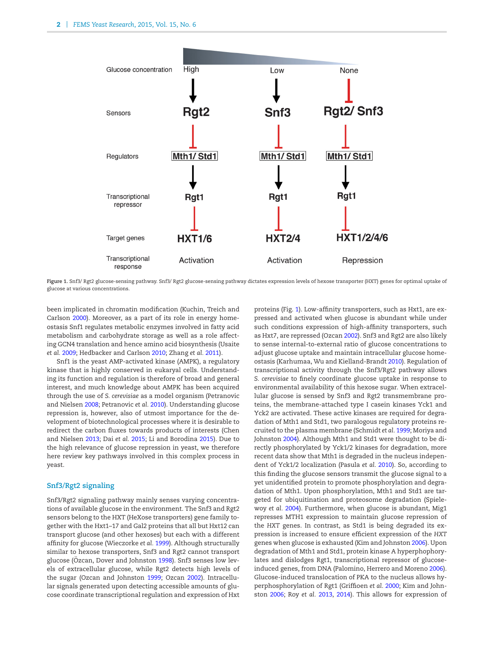<span id="page-2-0"></span>

**Figure 1.** Snf3/ Rgt2 glucose-sensing pathway. Snf3/ Rgt2 glucose-sensing pathway dictates expression levels of hexose transporter (HXT) genes for optimal uptake of glucose at various concentrations.

been implicated in chromatin modification (Kuchin, Treich and Carlson [2000\)](#page-6-4). Moreover, as a part of its role in energy homeostasis Snf1 regulates metabolic enzymes involved in fatty acid metabolism and carbohydrate storage as well as a role affecting GCN4 translation and hence amino acid biosynthesis (Usaite *et al.* [2009;](#page-7-1) Hedbacker and Carlson [2010;](#page-6-5) Zhang *et al.* [2011\)](#page-8-0).

Snf1 is the yeast AMP-activated kinase (AMPK), a regulatory kinase that is highly conserved in eukaryal cells. Understanding its function and regulation is therefore of broad and general interest, and much knowledge about AMPK has been acquired through the use of *S. cerevisiae* as a model organism (Petranovic and Nielsen [2008;](#page-7-2) Petranovic *et al.* [2010\)](#page-7-3). Understanding glucose repression is, however, also of utmost importance for the development of biotechnological processes where it is desirable to redirect the carbon fluxes towards products of interests (Chen and Nielsen [2013;](#page-6-6) Dai *et al.* [2015;](#page-6-7) Li and Borodina [2015\)](#page-6-8). Due to the high relevance of glucose repression in yeast, we therefore here review key pathways involved in this complex process in yeast.

## **Snf3/Rgt2 signaling**

Snf3/Rgt2 signaling pathway mainly senses varying concentrations of available glucose in the environment. The Snf3 and Rgt2 sensors belong to the HXT (HeXose transporters) gene family together with the Hxt1–17 and Gal2 proteins that all but Hxt12 can transport glucose (and other hexoses) but each with a different affinity for glucose (Wieczorke *et al.* [1999\)](#page-7-4). Although structurally similar to hexose transporters, Snf3 and Rgt2 cannot transport glucose (Özcan, Dover and Johnston [1998\)](#page-7-5). Snf3 senses low levels of extracellular glucose, while Rgt2 detects high levels of the sugar (Ozcan and Johnston [1999;](#page-7-6) Ozcan [2002\)](#page-7-7). Intracellular signals generated upon detecting accessible amounts of glucose coordinate transcriptional regulation and expression of Hxt proteins (Fig. [1\)](#page-2-0). Low-affinity transporters, such as Hxt1, are expressed and activated when glucose is abundant while under such conditions expression of high-affinity transporters, such as Hxt7, are repressed (Ozcan [2002\)](#page-7-7). Snf3 and Rgt2 are also likely to sense internal-to-external ratio of glucose concentrations to adjust glucose uptake and maintain intracellular glucose homeostasis (Karhumaa, Wu and Kielland-Brandt [2010\)](#page-6-9)[.](#page-3-0) Regulation of transcriptional activity through the Snf3/Rgt2 pathway allows *S. cerevisiae* to finely coordinate glucose uptake in response to environmental availability of this hexose sugar. When extracellular glucose is sensed by Snf3 and Rgt2 transmembrane proteins, the membrane-attached type I casein kinases Yck1 and Yck2 are activated. These active kinases are required for degradation of Mth1 and Std1, two paralogous regulatory proteins recruited to the plasma membrane (Schmidt *et al.* [1999;](#page-7-8) Moriya and Johnston [2004\)](#page-7-9). Although Mth1 and Std1 were thought to be directly phosphorylated by Yck1/2 kinases for degradation, more recent data show that Mth1 is degraded in the nucleus independent of Yck1/2 localization (Pasula *et al.* [2010\)](#page-7-10). So, according to this finding the glucose sensors transmit the glucose signal to a yet unidentified protein to promote phosphorylation and degradation of Mth1. Upon phosphorylation, Mth1 and Std1 are targeted for ubiquitination and proteosome degradation (Spielewoy *et al.* [2004\)](#page-7-11). Furthermore, when glucose is abundant, Mig1 represses MTH1 expression to maintain glucose repression of the *HXT* genes. In contrast, as Std1 is being degraded its expression is increased to ensure efficient expression of the *HXT* genes when glucose is exhausted (Kim and Johnston [2006\)](#page-6-10). Upon degradation of Mth1 and Std1, protein kinase A hyperphophorylates and dislodges Rgt1, transcriptional repressor of glucoseinduced genes, from DNA (Palomino, Herrero and Moreno [2006\)](#page-7-12). Glucose-induced translocation of PKA to the nucleus allows hyperphosphorylation of Rgt1 (Griffioen *et al.* [2000;](#page-6-11) Kim and Johnston [2006;](#page-6-10) Roy *et al.* [2013,](#page-7-13) [2014\)](#page-7-14). This allows for expression of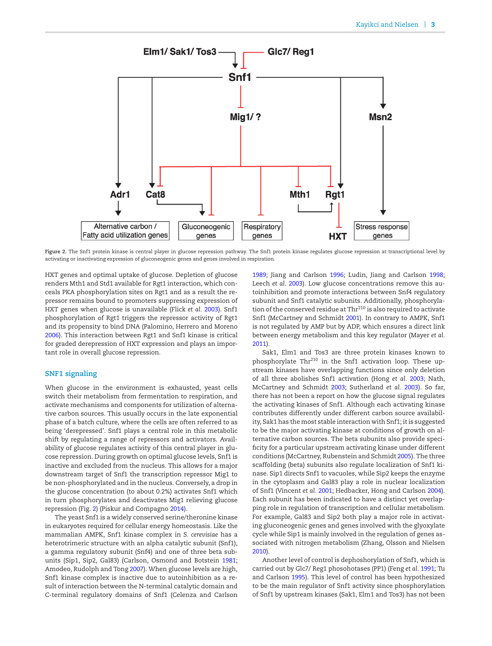<span id="page-3-0"></span>

Figure 2. The Snf1 protein kinase is central player in glucose repression pathway. The Snf1 protein kinase regulates glucose repression at transcriptional level by activating or inactivating expression of gluconeogenic genes and genes involved in respiration.

HXT genes and optimal uptake of glucose. Depletion of glucose renders Mth1 and Std1 available for Rgt1 interaction, which conceals PKA phosphorylation sites on Rgt1 and as a result the repressor remains bound to promoters suppressing expression of HXT genes when glucose is unavailable (Flick *et al.* [2003\)](#page-6-12). Snf1 phosphorylation of Rgt1 triggers the repressor activity of Rgt1 and its propensity to bind DNA (Palomino, Herrero and Moreno [2006\)](#page-7-12). This interaction between Rgt1 and Snf1 kinase is critical for graded derepression of HXT expression and plays an important role in overall glucose repression.

## **SNF1 signaling**

When glucose in the environment is exhausted, yeast cells switch their metabolism from fermentation to respiration, and activate mechanisms and components for utilization of alternative carbon sources. This usually occurs in the late exponential phase of a batch culture, where the cells are often referred to as being 'derepressed'. Snf1 plays a central role in this metabolic shift by regulating a range of repressors and activators. Availability of glucose regulates activity of this central player in glucose repression. During growth on optimal glucose levels, Snf1 is inactive and excluded from the nucleus. This allows for a major downstream target of Snf1 the transcription repressor Mig1 to be non-phosphorylated and in the nucleus. Conversely, a drop in the glucose concentration (to about 0.2%) activates Snf1 which in turn phosphorylates and deactivates Mig1 relieving glucose repression (Fig. [2\)](#page-3-0) (Piskur and Compagno [2014\)](#page-7-15).

The yeast Snf1 is a widely conserved serine/theronine kinase in eukaryotes required for cellular energy homeostasis. Like the mammalian AMPK, Snf1 kinase complex in *S. cerevisiae* has a heterotrimeric structure with an alpha catalytic subunit (Snf1), a gamma regulatory subunit (Snf4) and one of three beta subunits (Sip1, Sip2, Gal83) (Carlson, Osmond and Botstein [1981;](#page-6-13) Amodeo, Rudolph and Tong [2007\)](#page-6-14). When glucose levels are high, Snf1 kinase complex is inactive due to autoinhibition as a result of interaction between the N-terminal catalytic domain and C-terminal regulatory domains of Snf1 (Celenza and Carlson [1989;](#page-6-15) Jiang and Carlson [1996;](#page-6-16) Ludin, Jiang and Carlson [1998;](#page-6-17) Leech *et al.* [2003\)](#page-6-18). Low glucose concentrations remove this autoinhibition and promote interactions between Snf4 regulatory subunit and Snf1 catalytic subunits. Additionally, phosphorylation of the conserved residue at Thr<sup>210</sup> is also required to activate Snf1 (McCartney and Schmidt [2001\)](#page-6-19). In contrary to AMPK, Snf1 is not regulated by AMP but by ADP, which ensures a direct link between energy metabolism and this key regulator (Mayer *et al.* [2011\)](#page-7-16).

Sak1, Elm1 and Tos3 are three protein kinases known to phosphorylate Thr<sup>210</sup> in the Snf1 activation loop. These upstream kinases have overlapping functions since only deletion of all three abolishes Snf1 activation (Hong *et al.* [2003;](#page-6-20) Nath, McCartney and Schmidt [2003;](#page-7-17) Sutherland *et al.* [2003\)](#page-7-18). So far, there has not been a report on how the glucose signal regulates the activating kinases of Snf1. Although each activating kinase contributes differently under different carbon source availability, Sak1 has the most stable interaction with Snf1; it is suggested to be the major activating kinase at conditions of growth on alternative carbon sources. The beta subunits also provide specificity for a particular upstream activating kinase under different conditions (McCartney, Rubenstein and Schmidt [2005\)](#page-6-21). The three scaffolding (beta) subunits also regulate localization of Snf1 kinase. Sip1 directs Snf1 to vacuoles, while Sip2 keeps the enzyme in the cytoplasm and Gal83 play a role in nuclear localization of Snf1 (Vincent *et al.* [2001;](#page-7-19) Hedbacker, Hong and Carlson [2004\)](#page-6-22). Each subunit has been indicated to have a distinct yet overlapping role in regulation of transcription and cellular metabolism. For example, Gal83 and Sip2 both play a major role in activating gluconeogenic genes and genes involved with the glyoxylate cycle while Sip1 is mainly involved in the regulation of genes associated with nitrogen metabolism (Zhang, Olsson and Nielsen [2010\)](#page-8-1).

Another level of control is dephoshorylation of Snf1, which is carried out by Glc7/ Reg1 phosohotases (PP1) (Feng *et al.* [1991;](#page-6-23) Tu and Carlson [1995\)](#page-7-20). This level of control has been hypothesized to be the main regulator of Snf1 activity since phosphorylation of Snf1 by upstream kinases (Sak1, Elm1 and Tos3) has not been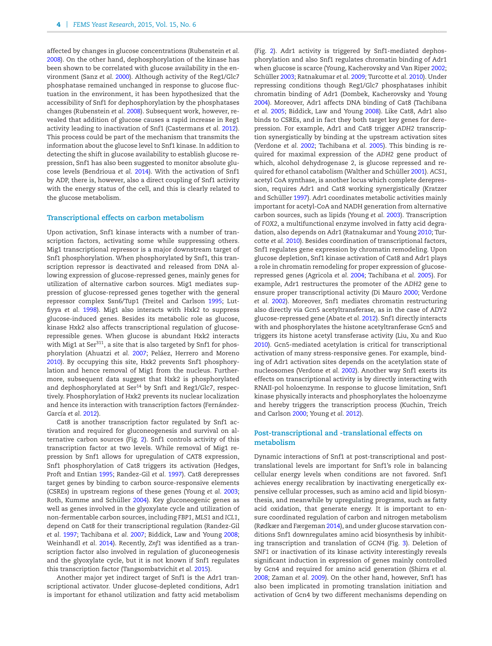affected by changes in glucose concentrations (Rubenstein *et al.* [2008\)](#page-7-21). On the other hand, dephosphorylation of the kinase has been shown to be correlated with glucose availability in the environment (Sanz *et al.* [2000\)](#page-7-22). Although activity of the Reg1/Glc7 phosphatase remained unchanged in response to glucose fluctuation in the environment, it has been hypothesized that the accessibility of Snf1 for dephosphorylation by the phosphatases changes (Rubenstein *et al.* [2008\)](#page-7-21). Subsequent work, however, revealed that addition of glucose causes a rapid increase in Reg1 activity leading to inactivation of Snf1 (Castermans *et al.* [2012\)](#page-6-24). This process could be part of the mechanism that transmits the information about the glucose level to Snf1 kinase. In addition to detecting the shift in glucose availability to establish glucose repression, Snf1 has also been suggested to monitor absolute glucose levels (Bendrioua *et al.* [2014\)](#page-6-25). With the activation of Snf1 by ADP, there is, however, also a direct coupling of Snf1 activity with the energy status of the cell, and this is clearly related to the glucose metabolism.

#### **Transcriptional effects on carbon metabolism**

Upon activation, Snf1 kinase interacts with a number of transcription factors, activating some while suppressing others. Mig1 transcriptional repressor is a major downstream target of Snf1 phosphorylation. When phosphorylated by Snf1, this transcription repressor is deactivated and released from DNA allowing expression of glucose-repressed genes, mainly genes for utilization of alternative carbon sources. Mig1 mediates suppression of glucose-repressed genes together with the general repressor complex Ssn6/Tup1 (Treitel and Carlson [1995;](#page-7-23) Lutfiyya *et al.* [1998\)](#page-6-26). Mig1 also interacts with Hxk2 to suppress glucose-induced genes. Besides its metabolic role as glucose, kinase Hxk2 also affects transcriptional regulation of glucoserepressible genes. When glucose is abundant Hxk2 interacts with Mig1 at Ser $311$ , a site that is also targeted by Snf1 for phosphorylation (Ahuatzi *et al. 2007*; Peláez, Herrero and Moreno [2010\)](#page-7-24). By occupying this site, Hxk2 prevents Snf1 phosphorylation and hence removal of Mig1 from the nucleus. Furthermore, subsequent data suggest that Hxk2 is phosphorylated and dephosphorylated at Ser<sup>14</sup> by Snf1 and Reg1/Glc7, respectively. Phosphorylation of Hxk2 prevents its nuclear localization and hence its interaction with transcription factors (Fernández-García et al. [2012\)](#page-6-28).

Cat8 is another transcription factor regulated by Snf1 activation and required for gluconeogenesis and survival on alternative carbon sources (Fig. [2\)](#page-3-0). Snf1 controls activity of this transcription factor at two levels. While removal of Mig1 repression by Snf1 allows for upregulation of CAT8 expression, Snf1 phosphorylation of Cat8 triggers its activation (Hedges, Proft and Entian [1995;](#page-6-29) Randez-Gil *et al.* [1997\)](#page-7-25). Cat8 derepresses target genes by binding to carbon source-responsive elements (CSREs) in upstream regions of these genes (Young *et al.* [2003;](#page-8-2) Roth, Kumme and Schüller [2004\)](#page-7-26). Key gluconeogenic genes as well as genes involved in the glyoxylate cycle and utilization of non-fermentable carbon sources, including *FBP1*, *MLS1* and *ICL1*, depend on Cat8 for their transcriptional regulation (Randez-Gil *et al.* [1997;](#page-7-25) Tachibana *et al.* [2007;](#page-7-27) Biddick, Law and Young [2008;](#page-6-30) Weinhandl *et al.* [2014\)](#page-7-28). Recently, *Znf1* was identified as a transcription factor also involved in regulation of gluconeogenesis and the glyoxylate cycle, but it is not known if Snf1 regulates this transcription factor (Tangsombatvichit *et al.* [2015\)](#page-7-29).

Another major yet indirect target of Snf1 is the Adr1 transcriptional activator. Under glucose-depleted conditions, Adr1 is important for ethanol utilization and fatty acid metabolism (Fig. [2\)](#page-3-0). Adr1 activity is triggered by Snf1-mediated dephosphorylation and also Snf1 regulates chromatin binding of Adr1 when glucose is scarce (Young, Kacherovsky and Van Riper [2002;](#page-8-3) Schüller [2003;](#page-7-30) Ratnakumar *et al.* [2009;](#page-7-31) Turcotte *et al.* [2010\)](#page-7-32). Under repressing conditions though Reg1/Glc7 phosphatases inhibit chromatin binding of Adr1 (Dombek, Kacherovsky and Young [2004\)](#page-6-31). Moreover, Adr1 affects DNA binding of Cat8 (Tachibana *et al.* [2005;](#page-7-33) Biddick, Law and Young [2008\)](#page-6-30). Like Cat8, Adr1 also binds to CSREs, and in fact they both target key genes for derepression. For example, Adr1 and Cat8 trigger *ADH2* transcription synergistically by binding at the upstream activation sites (Verdone *et al.* [2002;](#page-7-34) Tachibana *et al.* [2005\)](#page-7-33). This binding is required for maximal expression of the *ADH2* gene product of which, alcohol dehydrogenase 2, is glucose repressed and re-quired for ethanol catabolism (Walther and Schüller [2001\)](#page-7-35). *ACS1*, acetyl CoA synthase, is another locus which complete derepression, requires Adr1 and Cat8 working synergistically (Kratzer and Schüller [1997\)](#page-6-32). Adr1 coordinates metabolic activities mainly important for acetyl-CoA and NADH generation from alternative carbon sources, such as lipids (Young *et al.* [2003\)](#page-8-2). Transcription of *FOX2*, a multifunctional enzyme involved in fatty acid degradation, also depends on Adr1 (Ratnakumar and Young [2010;](#page-7-36) Turcotte *et al.* [2010\)](#page-7-32). Besides coordination of transcriptional factors, Snf1 regulates gene expression by chromatin remodeling. Upon glucose depletion, Snf1 kinase activation of Cat8 and Adr1 plays a role in chromatin remodeling for proper expression of glucoserepressed genes (Agricola *et al.* [2004;](#page-6-33) Tachibana *et al.* [2005\)](#page-7-33). For example, Adr1 restructures the promoter of the *ADH2* gene to ensure proper transcriptional activity (Di Mauro [2000;](#page-6-34) Verdone *et al.* [2002\)](#page-7-34). Moreover, Snf1 mediates chromatin restructuring also directly via Gcn5 acetyltransferase, as in the case of ADY2 glucose-repressed gene (Abate *et al.* [2012\)](#page-5-0). Snf1 directly interacts with and phosphorylates the histone acetyltranferase Gcn5 and triggers its histone acetyl transferase activity (Liu, Xu and Kuo [2010\)](#page-6-35). Gcn5-mediated acetylation is critical for transcriptional activation of many stress-responsive genes. For example, binding of Adr1 activation sites depends on the acetylation state of nucleosomes (Verdone *et al.* [2002\)](#page-7-34). Another way Snf1 exerts its effects on transcriptional activity is by directly interacting with RNAII-pol holoenzyme. In response to glucose limitation, Snf1 kinase physically interacts and phosphorylates the holoenzyme and hereby triggers the transcription process (Kuchin, Treich and Carlson [2000;](#page-6-4) Young *et al.* [2012\)](#page-8-4).

## **Post-transcriptional and -translational effects on metabolism**

Dynamic interactions of Snf1 at post-transcriptional and posttranslational levels are important for Snf1's role in balancing cellular energy levels when conditions are not favored. Snf1 achieves energy recalibration by inactivating energetically expensive cellular processes, such as amino acid and lipid biosynthesis, and meanwhile by upregulating programs, such as fatty acid oxidation, that generate energy. It is important to ensure coordinated regulation of carbon and nitrogen metabolism (Rødkær and Færgeman [2014\)](#page-7-37), and under glucose starvation conditions Snf1 downregulates amino acid biosynthesis by inhibiting transcription and translation of *GCN4* (Fig. [3\)](#page-5-1). Deletion of *SNF1* or inactivation of its kinase activity interestingly reveals significant induction in expression of genes mainly controlled by Gcn4 and required for amino acid generation (Shirra *et al.* [2008;](#page-7-38) Zaman *et al.* [2009\)](#page-8-5). On the other hand, however, Snf1 has also been implicated in promoting translation initiation and activation of Gcn4 by two different mechanisms depending on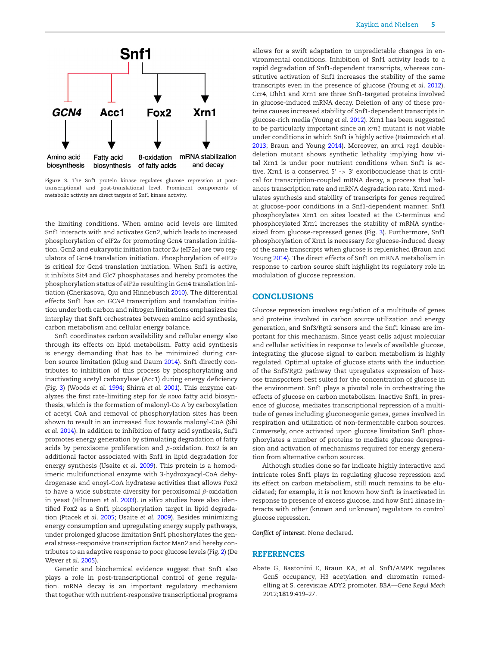<span id="page-5-1"></span>

**Figure 3.** The Snf1 protein kinase regulates glucose repression at posttranscriptional and post-translational level. Prominent components of metabolic activity are direct targets of Snf1 kinase activity.

the limiting conditions. When amino acid levels are limited Snf1 interacts with and activates Gcn2, which leads to increased phosphorylation of eIF2α for promoting Gcn4 translation initiation. Gcn2 and eukaryotic initiation factor  $2\alpha$  (eIF2 $\alpha$ ) are two regulators of Gcn4 translation initiation. Phosphorylation of eIF2α is critical for Gcn4 translation initiation. When Snf1 is active, it inhibits Sit4 and Glc7 phosphatases and hereby promotes the phosphorylation status of eIF2α resulting in Gcn4 translation initiation (Cherkasova, Qiu and Hinnebusch [2010\)](#page-6-36). The differential effects Snf1 has on *GCN4* transcription and translation initiation under both carbon and nitrogen limitations emphasizes the interplay that Snf1 orchestrates between amino acid synthesis, carbon metabolism and cellular energy balance.

Snf1 coordinates carbon availability and cellular energy also through its effects on lipid metabolism. Fatty acid synthesis is energy demanding that has to be minimized during carbon source limitation (Klug and Daum [2014\)](#page-6-37). Snf1 directly contributes to inhibition of this process by phosphorylating and inactivating acetyl carboxylase (Acc1) during energy deficiency (Fig. [3\)](#page-5-1) (Woods *et al.* [1994;](#page-8-6) Shirra *et al.* [2001\)](#page-7-39). This enzyme catalyzes the first rate-limiting step for *de novo* fatty acid biosynthesis, which is the formation of malonyl-Co A by carboxylation of acetyl CoA and removal of phosphorylation sites has been shown to result in an increased flux towards malonyl-CoA (Shi *et al.* [2014\)](#page-7-40). In addition to inhibition of fatty acid synthesis, Snf1 promotes energy generation by stimulating degradation of fatty acids by peroxisome proliferation and  $\beta$ -oxidation. Fox2 is an additional factor associated with Snf1 in lipid degradation for energy synthesis (Usaite *et al.* [2009\)](#page-7-1). This protein is a homodimeric multifunctional enzyme with 3-hydroxyacyl-CoA dehydrogenase and enoyl-CoA hydratese activities that allows Fox2 to have a wide substrate diversity for peroxisomal  $\beta$ -oxidation in yeast (Hiltunen *et al.* [2003\)](#page-6-38). *In silico* studies have also identified Fox2 as a Snf1 phosphorylation target in lipid degradation (Ptacek *et al.* [2005;](#page-7-41) Usaite *et al.* [2009\)](#page-7-1). Besides minimizing energy consumption and upregulating energy supply pathways, under prolonged glucose limitation Snf1 phoshorylates the general stress-responsive transcription factor Msn2 and hereby contributes to an adaptive response to poor glucose levels (Fig. [2\)](#page-3-0) (De Wever *et al.* [2005\)](#page-6-39).

Genetic and biochemical evidence suggest that Snf1 also plays a role in post-transcriptional control of gene regulation. mRNA decay is an important regulatory mechanism that together with nutrient-responsive transcriptional programs allows for a swift adaptation to unpredictable changes in environmental conditions. Inhibition of Snf1 activity leads to a rapid degradation of Snf1-dependent transcripts, whereas constitutive activation of Snf1 increases the stability of the same transcripts even in the presence of glucose (Young *et al.* [2012\)](#page-8-4). Ccr4, Dhh1 and Xrn1 are three Snf1-targeted proteins involved in glucose-induced mRNA decay. Deletion of any of these proteins causes increased stability of Snf1-dependent transcripts in glucose-rich media (Young *et al.* [2012\)](#page-8-4). Xrn1 has been suggested to be particularly important since an *xrn1* mutant is not viable under conditions in which Snf1 is highly active (Haimovich *et al.* [2013;](#page-6-40) Braun and Young [2014\)](#page-6-41). Moreover, an *xrn1 reg1* doubledeletion mutant shows synthetic lethality implying how vital Xrn1 is under poor nutrient conditions when Snf1 is active. Xrn1 is a conserved 5' -> 3' exoribonuclease that is critical for transcription-coupled mRNA decay, a process that balances transcription rate and mRNA degradation rate. Xrn1 modulates synthesis and stability of transcripts for genes required at glucose-poor conditions in a Snf1-dependent manner. Snf1 phosphorylates Xrn1 on sites located at the C-terminus and phosphorylated Xrn1 increases the stability of mRNA synthesized from glucose-repressed genes (Fig. [3\)](#page-5-1). Furthermore, Snf1 phosphorylation of Xrn1 is necessary for glucose-induced decay of the same transcripts when glucose is replenished (Braun and Young [2014\)](#page-6-41). The direct effects of Snf1 on mRNA metabolism in response to carbon source shift highlight its regulatory role in modulation of glucose repression.

#### **CONCLUSIONS**

Glucose repression involves regulation of a multitude of genes and proteins involved in carbon source utilization and energy generation, and Snf3/Rgt2 sensors and the Snf1 kinase are important for this mechanism. Since yeast cells adjust molecular and cellular activities in response to levels of available glucose, integrating the glucose signal to carbon metabolism is highly regulated. Optimal uptake of glucose starts with the induction of the Snf3/Rgt2 pathway that upregulates expression of hexose transporters best suited for the concentration of glucose in the environment. Snf1 plays a pivotal role in orchestrating the effects of glucose on carbon metabolism. Inactive Snf1, in presence of glucose, mediates transcriptional repression of a multitude of genes including gluconeogenic genes, genes involved in respiration and utilization of non-fermentable carbon sources. Conversely, once activated upon glucose limitation Snf1 phosphorylates a number of proteins to mediate glucose derepression and activation of mechanisms required for energy generation from alternative carbon sources.

Although studies done so far indicate highly interactive and intricate roles Snf1 plays in regulating glucose repression and its effect on carbon metabolism, still much remains to be elucidated; for example, it is not known how Snf1 is inactivated in response to presence of excess glucose, and how Snf1 kinase interacts with other (known and unknown) regulators to control glucose repression.

*Conflict of interest.* None declared.

#### **REFERENCES**

<span id="page-5-0"></span>Abate G, Bastonini E, Braun KA, *et al.* Snf1/AMPK regulates Gcn5 occupancy, H3 acetylation and chromatin remodelling at S. cerevisiae ADY2 promoter. *BBA—Gene Regul Mech* 2012;**1819**:419–27.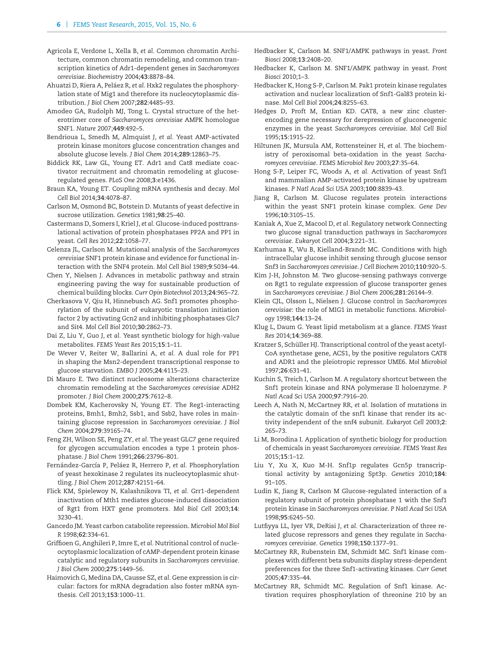- <span id="page-6-33"></span>Agricola E, Verdone L, Xella B, *et al.* Common chromatin Architecture, common chromatin remodeling, and common transcription kinetics of Adr1-dependent genes in *Saccharomyces cerevisiae*. *Biochemistry* 2004;**43**:8878–84.
- <span id="page-6-27"></span>Ahuatzi D, Riera A, Peláez R, et al. Hxk2 regulates the phosphorylation state of Mig1 and therefore its nucleocytoplasmic distribution. *J Biol Chem* 2007;**282**:4485–93.
- <span id="page-6-14"></span>Amodeo GA, Rudolph MJ, Tong L. Crystal structure of the heterotrimer core of *Saccharomyces cerevisiae* AMPK homologue SNF1. *Nature* 2007;**449**:492–5.
- <span id="page-6-25"></span>Bendrioua L, Smedh M, Almquist J, *et al.* Yeast AMP-activated protein kinase monitors glucose concentration changes and absolute glucose levels. *J Biol Chem* 2014;**289**:12863–75.
- <span id="page-6-30"></span>Biddick RK, Law GL, Young ET. Adr1 and Cat8 mediate coactivator recruitment and chromatin remodeling at glucoseregulated genes. *PLoS One* 2008;**3**:e1436.
- <span id="page-6-41"></span>Braun KA, Young ET. Coupling mRNA synthesis and decay. *Mol Cell Biol* 2014;**34**:4078–87.
- <span id="page-6-13"></span>Carlson M, Osmond BC, Botstein D. Mutants of yeast defective in sucrose utilization. *Genetics* 1981;**98**:25–40.
- <span id="page-6-24"></span>Castermans D, Somers I, Kriel J, *et al.* Glucose-induced posttranslational activation of protein phosphatases PP2A and PP1 in yeast. *Cell Res* 2012;**22**:1058–77.
- <span id="page-6-15"></span>Celenza JL, Carlson M. Mutational analysis of the *Saccharomyces cerevisiae* SNF1 protein kinase and evidence for functional interaction with the SNF4 protein. *Mol Cell Biol* 1989;**9**:5034–44.
- <span id="page-6-6"></span>Chen Y, Nielsen J. Advances in metabolic pathway and strain engineering paving the way for sustainable production of chemical building blocks. *Curr Opin Biotechnol* 2013;**24**:965–72.
- <span id="page-6-36"></span>Cherkasova V, Qiu H, Hinnebusch AG. Snf1 promotes phosphorylation of the subunit of eukaryotic translation initiation factor 2 by activating Gcn2 and inhibiting phosphatases Glc7 and Sit4. *Mol Cell Biol* 2010;**30**:2862–73.
- <span id="page-6-7"></span>Dai Z, Liu Y, Guo J, *et al.* Yeast synthetic biology for high-value metabolites. *FEMS Yeast Res* 2015;**15**:1–11.
- <span id="page-6-39"></span>De Wever V, Reiter W, Ballarini A, *et al.* A dual role for PP1 in shaping the Msn2-dependent transcriptional response to glucose starvation. *EMBO J* 2005;**24**:4115–23.
- <span id="page-6-34"></span>Di Mauro E. Two distinct nucleosome alterations characterize chromatin remodeling at the *Saccharomyces cerevisiae* ADH2 promoter. *J Biol Chem* 2000;**275**:7612–8.
- <span id="page-6-31"></span>Dombek KM, Kacherovsky N, Young ET. The Reg1-interacting proteins, Bmh1, Bmh2, Ssb1, and Ssb2, have roles in maintaining glucose repression in *Saccharomyces cerevisiae*. *J Biol Chem* 2004;**279**:39165–74.
- <span id="page-6-23"></span>Feng ZH, Wilson SE, Peng ZY, *et al.* The yeast GLC7 gene required for glycogen accumulation encodes a type 1 protein phosphatase. *J Biol Chem* 1991;**266**:23796–801.
- <span id="page-6-28"></span>Fernández-García P, Peláez R, Herrero P, et al. Phosphorylation of yeast hexokinase 2 regulates its nucleocytoplasmic shuttling. *J Biol Chem* 2012;**287**:42151–64.
- <span id="page-6-12"></span>Flick KM, Spielewoy N, Kalashnikova TI, *et al.* Grr1-dependent inactivation of Mth1 mediates glucose-induced dissociation of Rgt1 from HXT gene promoters. *Mol Biol Cell* 2003;**14**: 3230–41.
- <span id="page-6-2"></span>Gancedo JM. Yeast carbon catabolite repression. *Microbiol Mol Biol R* 1998;**62**:334–61.
- <span id="page-6-11"></span>Griffioen G, Anghileri P, Imre E, *et al.* Nutritional control of nucleocytoplasmic localization of cAMP-dependent protein kinase catalytic and regulatory subunits in *Saccharomyces cerevisiae*. *J Biol Chem* 2000;**275**:1449–56.
- <span id="page-6-40"></span>Haimovich G, Medina DA, Causse SZ, *et al.* Gene expression is circular: factors for mRNA degradation also foster mRNA synthesis. *Cell* 2013;**153**:1000–11.
- <span id="page-6-3"></span>Hedbacker K, Carlson M. SNF1/AMPK pathways in yeast. *Front Biosci* 2008;**13**:2408–20.
- <span id="page-6-5"></span>Hedbacker K, Carlson M. SNF1/AMPK pathway in yeast. *Front Biosci* 2010;1–3.
- <span id="page-6-22"></span>Hedbacker K, Hong S-P, Carlson M. Pak1 protein kinase regulates activation and nuclear localization of Snf1-Gal83 protein kinase. *Mol Cell Biol* 2004;**24**:8255–63.
- <span id="page-6-29"></span>Hedges D, Proft M, Entian KD. CAT8, a new zinc clusterencoding gene necessary for derepression of gluconeogenic enzymes in the yeast *Saccharomyces cerevisiae*. *Mol Cell Biol* 1995;**15**:1915–22.
- <span id="page-6-38"></span>Hiltunen JK, Mursula AM, Rottensteiner H, *et al.* The biochemistry of peroxisomal beta-oxidation in the yeast *Saccharomyces cerevisiae*. *FEMS Microbiol Rev* 2003;**27**:35–64.
- <span id="page-6-20"></span>Hong S-P, Leiper FC, Woods A, *et al.* Activation of yeast Snf1 and mammalian AMP-activated protein kinase by upstream kinases. *P Natl Acad Sci USA* 2003;**100**:8839–43.
- <span id="page-6-16"></span>Jiang R, Carlson M. Glucose regulates protein interactions within the yeast SNF1 protein kinase complex. *Gene Dev* 1996;**10**:3105–15.
- <span id="page-6-1"></span>Kaniak A, Xue Z, Macool D, *et al.* Regulatory network Connecting two glucose signal transduction pathways in *Saccharomyces cerevisiae*. *Eukaryot Cell* 2004;**3**:221–31.
- <span id="page-6-9"></span>Karhumaa K, Wu B, Kielland-Brandt MC. Conditions with high intracellular glucose inhibit sensing through glucose sensor Snf3 in *Saccharomyces cerevisiae*. *J Cell Biochem* 2010;**110**:920–5.
- <span id="page-6-10"></span>Kim J-H, Johnston M. Two glucose-sensing pathways converge on Rgt1 to regulate expression of glucose transporter genes in *Saccharomyces cerevisiae*. *J Biol Chem* 2006;**281**:26144–9.
- <span id="page-6-0"></span>Klein CJL, Olsson L, Nielsen J. Glucose control in *Saccharomyces cerevisiae*: the role of MIG1 in metabolic functions. *Microbiology* 1998;**144**:13–24.
- <span id="page-6-37"></span>Klug L, Daum G. Yeast lipid metabolism at a glance. *FEMS Yeast Res* 2014;**14**:369–88.
- <span id="page-6-32"></span>Kratzer S, Schüller HJ. Transcriptional control of the yeast acetyl-CoA synthetase gene, ACS1, by the positive regulators CAT8 and ADR1 and the pleiotropic repressor UME6. *Mol Microbiol* 1997;**26**:631–41.
- <span id="page-6-4"></span>Kuchin S, Treich I, Carlson M. A regulatory shortcut between the Snf1 protein kinase and RNA polymerase II holoenzyme. *P Natl Acad Sci USA* 2000;**97**:7916–20.
- <span id="page-6-18"></span>Leech A, Nath N, McCartney RR, *et al.* Isolation of mutations in the catalytic domain of the snf1 kinase that render its activity independent of the snf4 subunit. *Eukaryot Cell* 2003;**2**: 265–73.
- <span id="page-6-8"></span>Li M, Borodina I. Application of synthetic biology for production of chemicals in yeast *Saccharomyces cerevisiae*. *FEMS Yeast Res* 2015;**15**:1–12.
- <span id="page-6-35"></span>Liu Y, Xu X, Kuo M-H. Snf1p regulates Gcn5p transcriptional activity by antagonizing Spt3p. *Genetics* 2010;**184**: 91–105.
- <span id="page-6-17"></span>Ludin K, Jiang R, Carlson M Glucose-regulated interaction of a regulatory subunit of protein phosphatase 1 with the Snf1 protein kinase in *Saccharomyces cerevisiae*. *P Natl Acad Sci USA* 1998;**95**:6245–50.
- <span id="page-6-26"></span>Lutfiyya LL, Iyer VR, DeRisi J, *et al.* Characterization of three related glucose repressors and genes they regulate in *Saccharomyces cerevisiae*. *Genetics* 1998;**150**:1377–91.
- <span id="page-6-21"></span>McCartney RR, Rubenstein EM, Schmidt MC. Snf1 kinase complexes with different beta subunits display stress-dependent preferences for the three Snf1-activating kinases. *Curr Genet* 2005;**47**:335–44.
- <span id="page-6-19"></span>McCartney RR, Schmidt MC. Regulation of Snf1 kinase. Activation requires phosphorylation of threonine 210 by an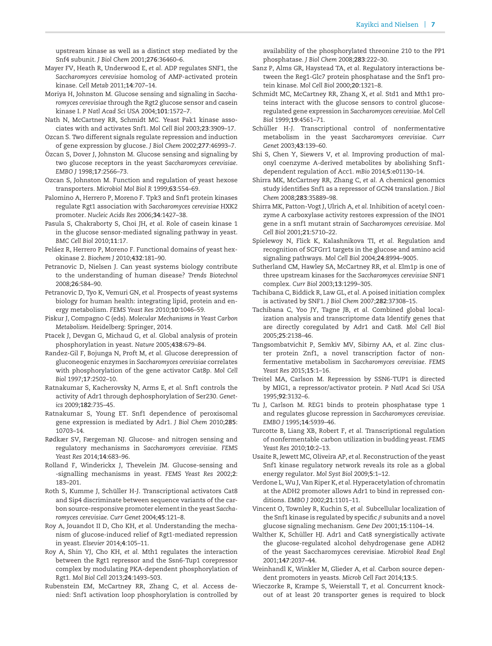upstream kinase as well as a distinct step mediated by the Snf4 subunit. *J Biol Chem* 2001;**276**:36460–6.

- <span id="page-7-16"></span>Mayer FV, Heath R, Underwood E, *et al.* ADP regulates SNF1, the *Saccharomyces cerevisiae* homolog of AMP-activated protein kinase. *Cell Metab* 2011;**14**:707–14.
- <span id="page-7-9"></span>Moriya H, Johnston M. Glucose sensing and signaling in *Saccharomyces cerevisiae* through the Rgt2 glucose sensor and casein kinase I. *P Natl Acad Sci USA* 2004;**101**:1572–7.
- <span id="page-7-17"></span>Nath N, McCartney RR, Schmidt MC. Yeast Pak1 kinase associates with and activates Snf1. *Mol Cell Biol* 2003;**23**:3909–17.
- <span id="page-7-7"></span>Ozcan S. Two different signals regulate repression and induction of gene expression by glucose. *J Biol Chem* 2002;**277**:46993–7.
- <span id="page-7-5"></span>Ozcan S, Dover J, Johnston M. Glucose sensing and signaling by ¨ two glucose receptors in the yeast *Saccharomyces cerevisiae*. *EMBO J* 1998;**17**:2566–73.
- <span id="page-7-6"></span>Ozcan S, Johnston M. Function and regulation of yeast hexose transporters. *Microbiol Mol Biol R* 1999;**63**:554–69.
- <span id="page-7-12"></span>Palomino A, Herrero P, Moreno F. Tpk3 and Snf1 protein kinases regulate Rgt1 association with *Saccharomyces cerevisiae* HXK2 promoter. *Nucleic Acids Res* 2006;**34**:1427–38.
- <span id="page-7-10"></span>Pasula S, Chakraborty S, Choi JH, *et al.* Role of casein kinase 1 in the glucose sensor-mediated signaling pathway in yeast. *BMC Cell Biol* 2010;**11**:17.
- <span id="page-7-24"></span>Peláez R, Herrero P, Moreno F. Functional domains of yeast hexokinase 2. *Biochem J* 2010;**432**:181–90.
- <span id="page-7-2"></span>Petranovic D, Nielsen J. Can yeast systems biology contribute to the understanding of human disease? *Trends Biotechnol* 2008;**26**:584–90.
- <span id="page-7-3"></span>Petranovic D, Tyo K, Vemuri GN, *et al.* Prospects of yeast systems biology for human health: integrating lipid, protein and energy metabolism. *FEMS Yeast Res* 2010;**10**:1046–59.
- <span id="page-7-15"></span>Piskur J, Compagno C (eds). *Molecular Mechanisms in Yeast Carbon Metabolism*. Heidelberg: Springer, 2014.
- <span id="page-7-41"></span>Ptacek J, Devgan G, Michaud G, *et al.* Global analysis of protein phosphorylation in yeast. *Nature* 2005;**438**:679–84.
- <span id="page-7-25"></span>Randez-Gil F, Bojunga N, Proft M, *et al.* Glucose derepression of gluconeogenic enzymes in *Saccharomyces cerevisiae* correlates with phosphorylation of the gene activator Cat8p. *Mol Cell Biol* 1997;**17**:2502–10.
- <span id="page-7-31"></span>Ratnakumar S, Kacherovsky N, Arms E, *et al.* Snf1 controls the activity of Adr1 through dephosphorylation of Ser230. *Genetics* 2009;**182**:735–45.
- <span id="page-7-36"></span>Ratnakumar S, Young ET. Snf1 dependence of peroxisomal gene expression is mediated by Adr1. *J Biol Chem* 2010;**285**: 10703–14.
- <span id="page-7-37"></span>Rødkær SV, Færgeman NJ. Glucose- and nitrogen sensing and regulatory mechanisms in *Saccharomyces cerevisiae*. *FEMS Yeast Res* 2014;**14**:683–96.
- <span id="page-7-0"></span>Rolland F, Winderickx J, Thevelein JM. Glucose-sensing and -signalling mechanisms in yeast. *FEMS Yeast Res* 2002;**2**: 183–201.
- <span id="page-7-26"></span>Roth S, Kumme J, Schüller H-J. Transcriptional activators Cat8 and Sip4 discriminate between sequence variants of the carbon source-responsive promoter element in the yeast *Saccharomyces cerevisiae*. *Curr Genet* 2004;**45**:121–8.
- <span id="page-7-14"></span>Roy A, Jouandot II D, Cho KH, *et al.* Understanding the mechanism of glucose-induced relief of Rgt1-mediated repression in yeast. *Elsevier* 2014;**4**:105–11.
- <span id="page-7-13"></span>Roy A, Shin YJ, Cho KH, *et al.* Mth1 regulates the interaction between the Rgt1 repressor and the Ssn6-Tup1 corepressor complex by modulating PKA-dependent phosphorylation of Rgt1. *Mol Biol Cell* 2013;**24**:1493–503.
- <span id="page-7-21"></span>Rubenstein EM, McCartney RR, Zhang C, *et al.* Access denied: Snf1 activation loop phosphorylation is controlled by

availability of the phosphorylated threonine 210 to the PP1 phosphatase. *J Biol Chem* 2008;**283**:222–30.

- <span id="page-7-22"></span>Sanz P, Alms GR, Haystead TA, *et al.* Regulatory interactions between the Reg1-Glc7 protein phosphatase and the Snf1 protein kinase. *Mol Cell Biol* 2000;**20**:1321–8.
- <span id="page-7-8"></span>Schmidt MC, McCartney RR, Zhang X, *et al.* Std1 and Mth1 proteins interact with the glucose sensors to control glucoseregulated gene expression in *Saccharomyces cerevisiae*. *Mol Cell Biol* 1999;**19**:4561–71.
- <span id="page-7-30"></span>Schüller H-J. Transcriptional control of nonfermentative metabolism in the yeast *Saccharomyces cerevisiae*. *Curr Genet* 2003;**43**:139–60.
- <span id="page-7-40"></span>Shi S, Chen Y, Siewers V, *et al.* Improving production of malonyl coenzyme A-derived metabolites by abolishing Snf1 dependent regulation of Acc1. *mBio* 2014;**5**:e01130–14.
- <span id="page-7-38"></span>Shirra MK, McCartney RR, Zhang C, *et al.* A chemical genomics study identifies Snf1 as a repressor of GCN4 translation. *J Biol Chem* 2008;**283**:35889–98.
- <span id="page-7-39"></span>Shirra MK, Patton-Vogt J, Ulrich A, *et al.* Inhibition of acetyl coenzyme A carboxylase activity restores expression of the INO1 gene in a snf1 mutant strain of *Saccharomyces cerevisiae*. *Mol Cell Biol* 2001;**21**:5710–22.
- <span id="page-7-11"></span>Spielewoy N, Flick K, Kalashnikova TI, *et al.* Regulation and recognition of SCFGrr1 targets in the glucose and amino acid signaling pathways. *Mol Cell Biol* 2004;**24**:8994–9005.
- <span id="page-7-18"></span>Sutherland CM, Hawley SA, McCartney RR, *et al.* Elm1p is one of three upstream kinases for the *Saccharomyces cerevisiae* SNF1 complex. *Curr Biol* 2003;**13**:1299–305.
- <span id="page-7-27"></span>Tachibana C, Biddick R, Law GL, *et al.* A poised initiation complex is activated by SNF1. *J Biol Chem* 2007;**282**:37308–15.
- <span id="page-7-33"></span>Tachibana C, Yoo JY, Tagne JB, *et al.* Combined global localization analysis and transcriptome data Identify genes that are directly coregulated by Adr1 and Cat8. *Mol Cell Biol* 2005;**25**:2138–46.
- <span id="page-7-29"></span>Tangsombatvichit P, Semkiv MV, Sibirny AA, *et al.* Zinc cluster protein Znf1, a novel transcription factor of nonfermentative metabolism in *Saccharomyces cerevisiae*. *FEMS Yeast Res* 2015;**15**:1–16.
- <span id="page-7-23"></span>Treitel MA, Carlson M. Repression by SSN6-TUP1 is directed by MIG1, a repressor/activator protein. *P Natl Acad Sci USA* 1995;**92**:3132–6.
- <span id="page-7-20"></span>Tu J, Carlson M. REG1 binds to protein phosphatase type 1 and regulates glucose repression in *Saccharomyces cerevisiae*. *EMBO J* 1995;**14**:5939–46.
- <span id="page-7-32"></span>Turcotte B, Liang XB, Robert F, *et al.* Transcriptional regulation of nonfermentable carbon utilization in budding yeast. *FEMS Yeast Res* 2010;**10**:2–13.
- <span id="page-7-1"></span>Usaite R, Jewett MC, Oliveira AP, *et al.* Reconstruction of the yeast Snf1 kinase regulatory network reveals its role as a global energy regulator. *Mol Syst Biol* 2009;**5**:1–12.
- <span id="page-7-34"></span>Verdone L, Wu J, Van Riper K, *et al.* Hyperacetylation of chromatin at the ADH2 promoter allows Adr1 to bind in repressed conditions. *EMBO J* 2002;**21**:1101–11.
- <span id="page-7-19"></span>Vincent O, Townley R, Kuchin S, *et al.* Subcellular localization of the Snf1 kinase is regulated by specific  $\beta$  subunits and a novel glucose signaling mechanism. *Gene Dev* 2001;**15**:1104–14.
- <span id="page-7-35"></span>Walther K, Schüller HJ. Adr1 and Cat8 synergistically activate the glucose-regulated alcohol dehydrogenase gene ADH2 of the yeast Saccharomyces cerevisiae. *Microbiol Read Engl* 2001;**147**:2037–44.
- <span id="page-7-28"></span>Weinhandl K, Winkler M, Glieder A, *et al.* Carbon source dependent promoters in yeasts. *Microb Cell Fact* 2014;**13**:5.
- <span id="page-7-4"></span>Wieczorke R, Krampe S, Weierstall T, *et al.* Concurrent knockout of at least 20 transporter genes is required to block